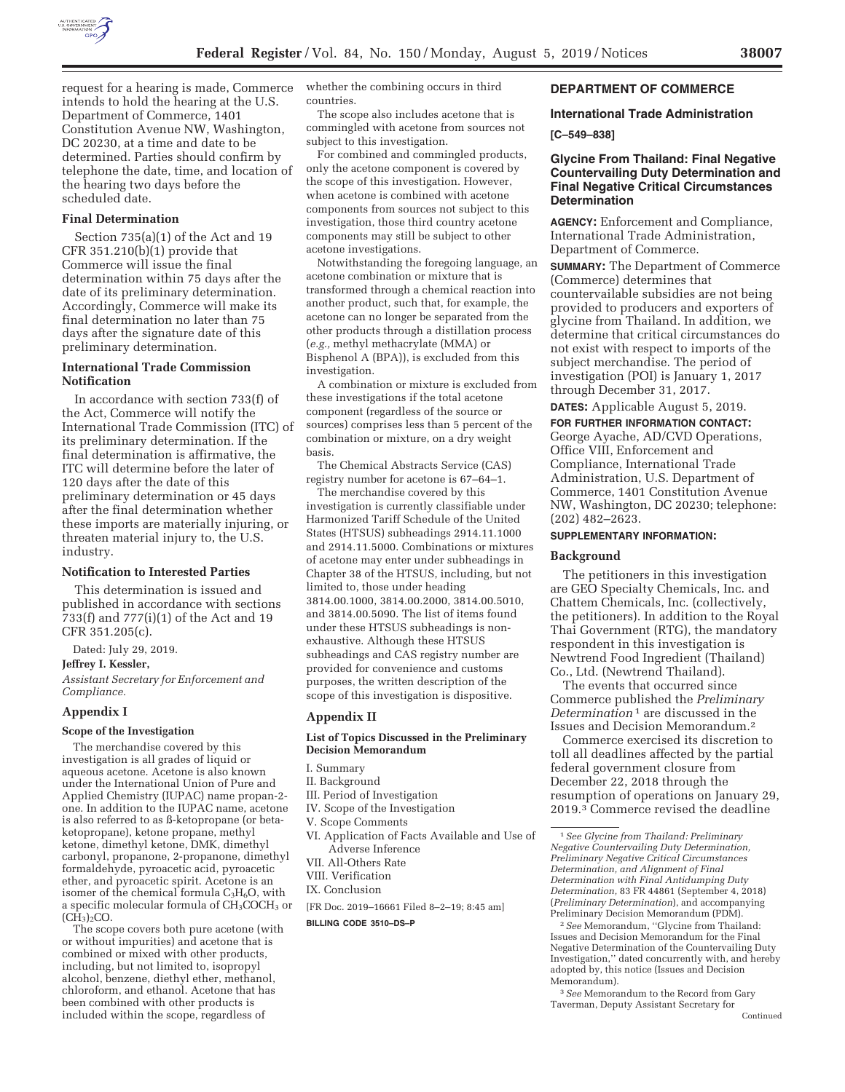

request for a hearing is made, Commerce intends to hold the hearing at the U.S. Department of Commerce, 1401 Constitution Avenue NW, Washington, DC 20230, at a time and date to be determined. Parties should confirm by telephone the date, time, and location of the hearing two days before the scheduled date.

# **Final Determination**

Section 735(a)(1) of the Act and 19 CFR 351.210(b)(1) provide that Commerce will issue the final determination within 75 days after the date of its preliminary determination. Accordingly, Commerce will make its final determination no later than 75 days after the signature date of this preliminary determination.

## **International Trade Commission Notification**

In accordance with section 733(f) of the Act, Commerce will notify the International Trade Commission (ITC) of its preliminary determination. If the final determination is affirmative, the ITC will determine before the later of 120 days after the date of this preliminary determination or 45 days after the final determination whether these imports are materially injuring, or threaten material injury to, the U.S. industry.

#### **Notification to Interested Parties**

This determination is issued and published in accordance with sections 733(f) and 777(i)(1) of the Act and 19 CFR 351.205(c).

Dated: July 29, 2019.

#### **Jeffrey I. Kessler,**

*Assistant Secretary for Enforcement and Compliance.* 

#### **Appendix I**

#### **Scope of the Investigation**

The merchandise covered by this investigation is all grades of liquid or aqueous acetone. Acetone is also known under the International Union of Pure and Applied Chemistry (IUPAC) name propan-2 one. In addition to the IUPAC name, acetone is also referred to as ß-ketopropane (or betaketopropane), ketone propane, methyl ketone, dimethyl ketone, DMK, dimethyl carbonyl, propanone, 2-propanone, dimethyl formaldehyde, pyroacetic acid, pyroacetic ether, and pyroacetic spirit. Acetone is an isomer of the chemical formula  $C_3H_6O$ , with a specific molecular formula of CH<sub>3</sub>COCH<sub>3</sub> or  $(C\tilde{H}_3)_2CO$ .

The scope covers both pure acetone (with or without impurities) and acetone that is combined or mixed with other products, including, but not limited to, isopropyl alcohol, benzene, diethyl ether, methanol, chloroform, and ethanol. Acetone that has been combined with other products is included within the scope, regardless of

whether the combining occurs in third countries.

The scope also includes acetone that is commingled with acetone from sources not subject to this investigation.

For combined and commingled products, only the acetone component is covered by the scope of this investigation. However, when acetone is combined with acetone components from sources not subject to this investigation, those third country acetone components may still be subject to other acetone investigations.

Notwithstanding the foregoing language, an acetone combination or mixture that is transformed through a chemical reaction into another product, such that, for example, the acetone can no longer be separated from the other products through a distillation process (*e.g.,* methyl methacrylate (MMA) or Bisphenol A (BPA)), is excluded from this investigation.

A combination or mixture is excluded from these investigations if the total acetone component (regardless of the source or sources) comprises less than 5 percent of the combination or mixture, on a dry weight basis.

The Chemical Abstracts Service (CAS) registry number for acetone is 67–64–1.

The merchandise covered by this investigation is currently classifiable under Harmonized Tariff Schedule of the United States (HTSUS) subheadings 2914.11.1000 and 2914.11.5000. Combinations or mixtures of acetone may enter under subheadings in Chapter 38 of the HTSUS, including, but not limited to, those under heading 3814.00.1000, 3814.00.2000, 3814.00.5010, and 3814.00.5090. The list of items found under these HTSUS subheadings is nonexhaustive. Although these HTSUS subheadings and CAS registry number are provided for convenience and customs purposes, the written description of the scope of this investigation is dispositive.

#### **Appendix II**

#### **List of Topics Discussed in the Preliminary Decision Memorandum**

I. Summary

- II. Background
- III. Period of Investigation
- IV. Scope of the Investigation
- V. Scope Comments
- VI. Application of Facts Available and Use of Adverse Inference
- VII. All-Others Rate
- VIII. Verification
- IX. Conclusion
- [FR Doc. 2019–16661 Filed 8–2–19; 8:45 am]

**BILLING CODE 3510–DS–P** 

## **DEPARTMENT OF COMMERCE**

# **International Trade Administration**

## **[C–549–838]**

## **Glycine From Thailand: Final Negative Countervailing Duty Determination and Final Negative Critical Circumstances Determination**

**AGENCY:** Enforcement and Compliance, International Trade Administration, Department of Commerce.

**SUMMARY:** The Department of Commerce (Commerce) determines that countervailable subsidies are not being provided to producers and exporters of glycine from Thailand. In addition, we determine that critical circumstances do not exist with respect to imports of the subject merchandise. The period of investigation (POI) is January 1, 2017 through December 31, 2017.

**DATES:** Applicable August 5, 2019.

# **FOR FURTHER INFORMATION CONTACT:**

George Ayache, AD/CVD Operations, Office VIII, Enforcement and Compliance, International Trade Administration, U.S. Department of Commerce, 1401 Constitution Avenue NW, Washington, DC 20230; telephone: (202) 482–2623.

## **SUPPLEMENTARY INFORMATION:**

#### **Background**

The petitioners in this investigation are GEO Specialty Chemicals, Inc. and Chattem Chemicals, Inc. (collectively, the petitioners). In addition to the Royal Thai Government (RTG), the mandatory respondent in this investigation is Newtrend Food Ingredient (Thailand) Co., Ltd. (Newtrend Thailand).

The events that occurred since Commerce published the *Preliminary Determination* 1 are discussed in the Issues and Decision Memorandum.2

Commerce exercised its discretion to toll all deadlines affected by the partial federal government closure from December 22, 2018 through the resumption of operations on January 29, 2019.3 Commerce revised the deadline

2*See* Memorandum, ''Glycine from Thailand: Issues and Decision Memorandum for the Final Negative Determination of the Countervailing Duty Investigation,'' dated concurrently with, and hereby adopted by, this notice (Issues and Decision Memorandum).

3*See* Memorandum to the Record from Gary Taverman, Deputy Assistant Secretary for

<sup>1</sup>*See Glycine from Thailand: Preliminary Negative Countervailing Duty Determination, Preliminary Negative Critical Circumstances Determination, and Alignment of Final Determination with Final Antidumping Duty Determination,* 83 FR 44861 (September 4, 2018) (*Preliminary Determination*), and accompanying Preliminary Decision Memorandum (PDM).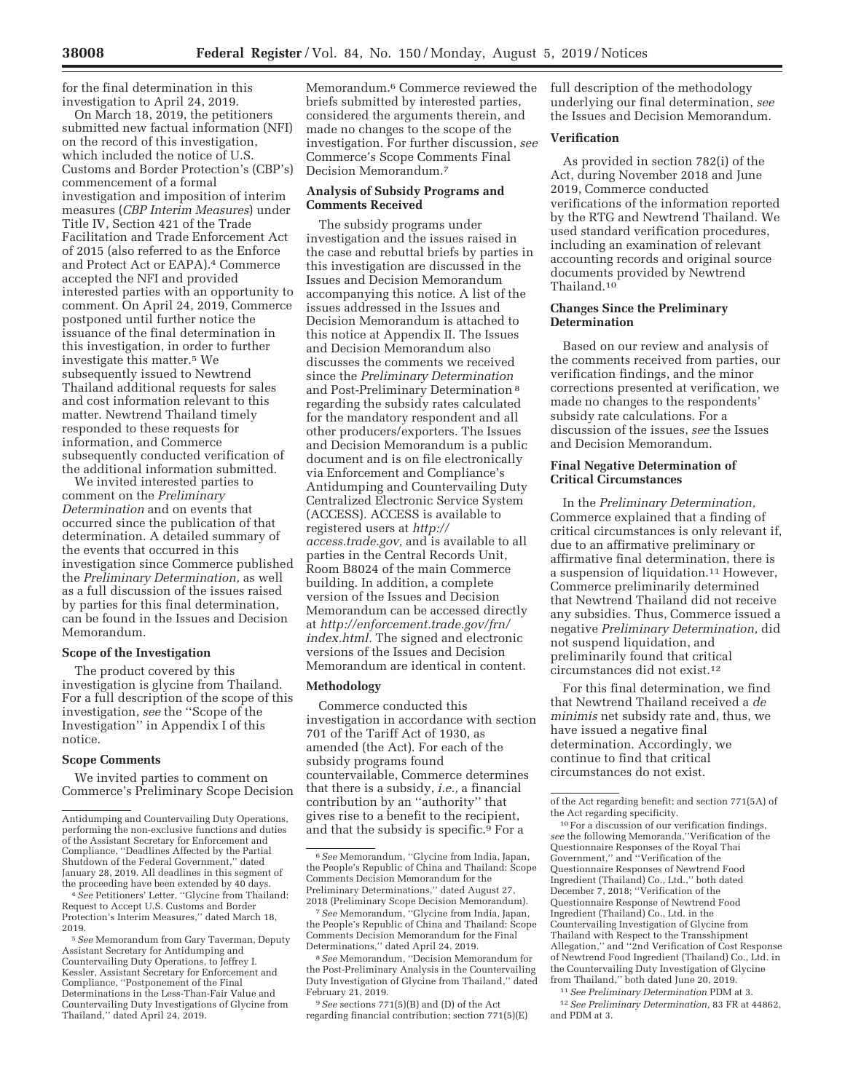for the final determination in this investigation to April 24, 2019.

On March 18, 2019, the petitioners submitted new factual information (NFI) on the record of this investigation, which included the notice of U.S. Customs and Border Protection's (CBP's) commencement of a formal investigation and imposition of interim measures (*CBP Interim Measures*) under Title IV, Section 421 of the Trade Facilitation and Trade Enforcement Act of 2015 (also referred to as the Enforce and Protect Act or EAPA).4 Commerce accepted the NFI and provided interested parties with an opportunity to comment. On April 24, 2019, Commerce postponed until further notice the issuance of the final determination in this investigation, in order to further investigate this matter.5 We subsequently issued to Newtrend Thailand additional requests for sales and cost information relevant to this matter. Newtrend Thailand timely responded to these requests for information, and Commerce subsequently conducted verification of the additional information submitted.

We invited interested parties to comment on the *Preliminary Determination* and on events that occurred since the publication of that determination. A detailed summary of the events that occurred in this investigation since Commerce published the *Preliminary Determination,* as well as a full discussion of the issues raised by parties for this final determination, can be found in the Issues and Decision Memorandum.

## **Scope of the Investigation**

The product covered by this investigation is glycine from Thailand. For a full description of the scope of this investigation, *see* the ''Scope of the Investigation'' in Appendix I of this notice.

#### **Scope Comments**

We invited parties to comment on Commerce's Preliminary Scope Decision

 $4 \overline{S}ee$  Petitioners' Letter, "Glycine from Thailand: Request to Accept U.S. Customs and Border Protection's Interim Measures,'' dated March 18, 2019. 5*See* Memorandum from Gary Taverman, Deputy

Assistant Secretary for Antidumping and Countervailing Duty Operations, to Jeffrey I. Kessler, Assistant Secretary for Enforcement and Compliance, ''Postponement of the Final Determinations in the Less-Than-Fair Value and Countervailing Duty Investigations of Glycine from Thailand,'' dated April 24, 2019.

Memorandum.<sup>6</sup> Commerce reviewed the briefs submitted by interested parties, considered the arguments therein, and made no changes to the scope of the investigation. For further discussion, *see*  Commerce's Scope Comments Final Decision Memorandum.7

## **Analysis of Subsidy Programs and Comments Received**

The subsidy programs under investigation and the issues raised in the case and rebuttal briefs by parties in this investigation are discussed in the Issues and Decision Memorandum accompanying this notice. A list of the issues addressed in the Issues and Decision Memorandum is attached to this notice at Appendix II. The Issues and Decision Memorandum also discusses the comments we received since the *Preliminary Determination*  and Post-Preliminary Determination 8 regarding the subsidy rates calculated for the mandatory respondent and all other producers/exporters. The Issues and Decision Memorandum is a public document and is on file electronically via Enforcement and Compliance's Antidumping and Countervailing Duty Centralized Electronic Service System (ACCESS). ACCESS is available to registered users at *http:// access.trade.gov,* and is available to all parties in the Central Records Unit, Room B8024 of the main Commerce building. In addition, a complete version of the Issues and Decision Memorandum can be accessed directly at *http://enforcement.trade.gov/frn/ index.html.* The signed and electronic versions of the Issues and Decision Memorandum are identical in content.

#### **Methodology**

Commerce conducted this investigation in accordance with section 701 of the Tariff Act of 1930, as amended (the Act). For each of the subsidy programs found countervailable, Commerce determines that there is a subsidy, *i.e.,* a financial contribution by an ''authority'' that gives rise to a benefit to the recipient, and that the subsidy is specific.9 For a

9*See* sections 771(5)(B) and (D) of the Act regarding financial contribution; section 771(5)(E) full description of the methodology underlying our final determination, *see*  the Issues and Decision Memorandum.

## **Verification**

As provided in section 782(i) of the Act, during November 2018 and June 2019, Commerce conducted verifications of the information reported by the RTG and Newtrend Thailand. We used standard verification procedures, including an examination of relevant accounting records and original source documents provided by Newtrend Thailand.10

## **Changes Since the Preliminary Determination**

Based on our review and analysis of the comments received from parties, our verification findings, and the minor corrections presented at verification, we made no changes to the respondents' subsidy rate calculations. For a discussion of the issues, *see* the Issues and Decision Memorandum.

# **Final Negative Determination of Critical Circumstances**

In the *Preliminary Determination,*  Commerce explained that a finding of critical circumstances is only relevant if, due to an affirmative preliminary or affirmative final determination, there is a suspension of liquidation.11 However, Commerce preliminarily determined that Newtrend Thailand did not receive any subsidies. Thus, Commerce issued a negative *Preliminary Determination,* did not suspend liquidation, and preliminarily found that critical circumstances did not exist.12

For this final determination, we find that Newtrend Thailand received a *de minimis* net subsidy rate and, thus, we have issued a negative final determination. Accordingly, we continue to find that critical circumstances do not exist.

11*See Preliminary Determination* PDM at 3. 12*See Preliminary Determination,* 83 FR at 44862,

and PDM at 3.

Antidumping and Countervailing Duty Operations, performing the non-exclusive functions and duties of the Assistant Secretary for Enforcement and Compliance, ''Deadlines Affected by the Partial Shutdown of the Federal Government,'' dated January 28, 2019. All deadlines in this segment of

<sup>6</sup>*See* Memorandum, ''Glycine from India, Japan, the People's Republic of China and Thailand: Scope Comments Decision Memorandum for the Preliminary Determinations,'' dated August 27, 2018 (Preliminary Scope Decision Memorandum).

<sup>7</sup>*See* Memorandum, ''Glycine from India, Japan, the People's Republic of China and Thailand: Scope Comments Decision Memorandum for the Final Determinations,'' dated April 24, 2019.

<sup>8</sup>*See* Memorandum, ''Decision Memorandum for the Post-Preliminary Analysis in the Countervailing Duty Investigation of Glycine from Thailand,'' dated February 21, 2019.

of the Act regarding benefit; and section 771(5A) of the Act regarding specificity.

<sup>10</sup>For a discussion of our verification findings, *see* the following Memoranda,''Verification of the Questionnaire Responses of the Royal Thai Government,'' and ''Verification of the Questionnaire Responses of Newtrend Food Ingredient (Thailand) Co., Ltd.,'' both dated December 7, 2018; ''Verification of the Questionnaire Response of Newtrend Food Ingredient (Thailand) Co., Ltd. in the Countervailing Investigation of Glycine from Thailand with Respect to the Transshipment Allegation," and "2nd Verification of Cost Response of Newtrend Food Ingredient (Thailand) Co., Ltd. in the Countervailing Duty Investigation of Glycine from Thailand,'' both dated June 20, 2019.